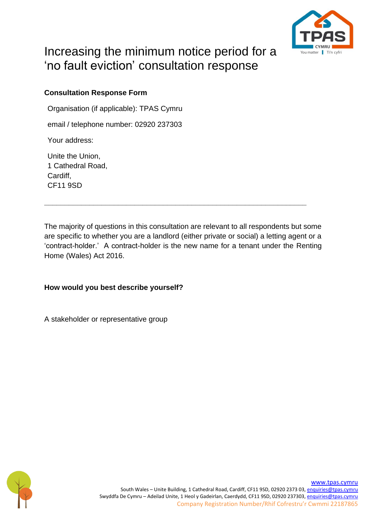

# Increasing the minimum notice period for a 'no fault eviction' consultation response

# **Consultation Response Form**

Organisation (if applicable): TPAS Cymru

email / telephone number: 02920 237303

Your address:

Unite the Union, 1 Cathedral Road, Cardiff, CF11 9SD

The majority of questions in this consultation are relevant to all respondents but some are specific to whether you are a landlord (either private or social) a letting agent or a 'contract-holder.' A contract-holder is the new name for a tenant under the Renting Home (Wales) Act 2016.

**\_\_\_\_\_\_\_\_\_\_\_\_\_\_\_\_\_\_\_\_\_\_\_\_\_\_\_\_\_\_\_\_\_\_\_\_\_\_\_\_\_\_\_\_\_\_\_\_\_\_\_\_\_\_\_\_\_\_\_\_\_\_\_\_**

# **How would you best describe yourself?**

A stakeholder or representative group

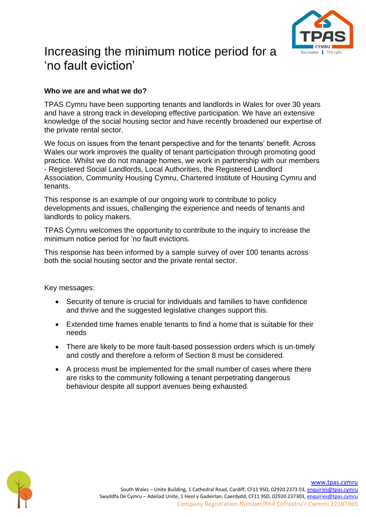

# Increasing the minimum notice period for a 'no fault eviction'

#### **Who we are and what we do?**

TPAS Cymru have been supporting tenants and landlords in Wales for over 30 years and have a strong track in developing effective participation. We have an extensive knowledge of the social housing sector and have recently broadened our expertise of the private rental sector.

We focus on issues from the tenant perspective and for the tenants' benefit. Across Wales our work improves the quality of tenant participation through promoting good practice. Whilst we do not manage homes, we work in partnership with our members - Registered Social Landlords, Local Authorities, the Registered Landlord Association, Community Housing Cymru, Chartered Institute of Housing Cymru and tenants.

This response is an example of our ongoing work to contribute to policy developments and issues, challenging the experience and needs of tenants and landlords to policy makers.

TPAS Cymru welcomes the opportunity to contribute to the inquiry to increase the minimum notice period for 'no fault evictions.

This response has been informed by a sample survey of over 100 tenants across both the social housing sector and the private rental sector.

Key messages:

- Security of tenure is crucial for individuals and families to have confidence and thrive and the suggested legislative changes support this.
- Extended time frames enable tenants to find a home that is suitable for their needs
- There are likely to be more fault-based possession orders which is un-timely and costly and therefore a reform of Section 8 must be considered.
- A process must be implemented for the small number of cases where there are risks to the community following a tenant perpetrating dangerous behaviour despite all support avenues being exhausted.

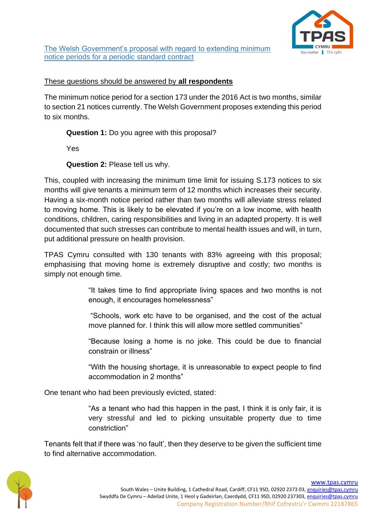

The Welsh Government's proposal with regard to extending minimum notice periods for a periodic standard contract

#### These questions should be answered by **all respondents**

The minimum notice period for a section 173 under the 2016 Act is two months, similar to section 21 notices currently. The Welsh Government proposes extending this period to six months.

**Question 1:** Do you agree with this proposal?

Yes

**Question 2:** Please tell us why.

This, coupled with increasing the minimum time limit for issuing S.173 notices to six months will give tenants a minimum term of 12 months which increases their security. Having a six-month notice period rather than two months will alleviate stress related to moving home. This is likely to be elevated if you're on a low income, with health conditions, children, caring responsibilities and living in an adapted property. It is well documented that such stresses can contribute to mental health issues and will, in turn, put additional pressure on health provision.

TPAS Cymru consulted with 130 tenants with 83% agreeing with this proposal; emphasising that moving home is extremely disruptive and costly; two months is simply not enough time.

> "It takes time to find appropriate living spaces and two months is not enough, it encourages homelessness"

> "Schools, work etc have to be organised, and the cost of the actual move planned for. I think this will allow more settled communities"

> "Because losing a home is no joke. This could be due to financial constrain or illness"

> "With the housing shortage, it is unreasonable to expect people to find accommodation in 2 months"

One tenant who had been previously evicted, stated:

"As a tenant who had this happen in the past, I think it is only fair, it is very stressful and led to picking unsuitable property due to time constriction"

Tenants felt that if there was 'no fault', then they deserve to be given the sufficient time to find alternative accommodation.

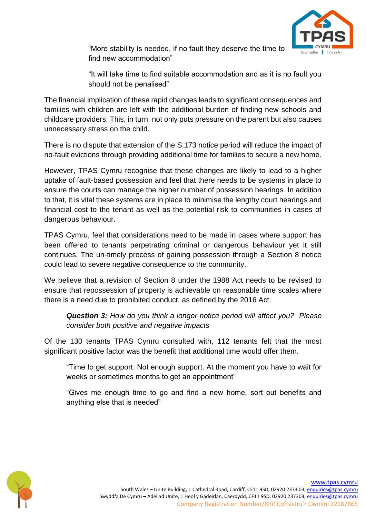

"More stability is needed, if no fault they deserve the time to find new accommodation"

"It will take time to find suitable accommodation and as it is no fault you should not be penalised"

The financial implication of these rapid changes leads to significant consequences and families with children are left with the additional burden of finding new schools and childcare providers. This, in turn, not only puts pressure on the parent but also causes unnecessary stress on the child.

There is no dispute that extension of the S.173 notice period will reduce the impact of no-fault evictions through providing additional time for families to secure a new home.

However, TPAS Cymru recognise that these changes are likely to lead to a higher uptake of fault-based possession and feel that there needs to be systems in place to ensure the courts can manage the higher number of possession hearings. In addition to that, it is vital these systems are in place to minimise the lengthy court hearings and financial cost to the tenant as well as the potential risk to communities in cases of dangerous behaviour.

TPAS Cymru, feel that considerations need to be made in cases where support has been offered to tenants perpetrating criminal or dangerous behaviour yet it still continues. The un-timely process of gaining possession through a Section 8 notice could lead to severe negative consequence to the community.

We believe that a revision of Section 8 under the 1988 Act needs to be revised to ensure that repossession of property is achievable on reasonable time scales where there is a need due to prohibited conduct, as defined by the 2016 Act.

*Question 3: How do you think a longer notice period will affect you? Please consider both positive and negative impacts*

Of the 130 tenants TPAS Cymru consulted with, 112 tenants felt that the most significant positive factor was the benefit that additional time would offer them.

"Time to get support. Not enough support. At the moment you have to wait for weeks or sometimes months to get an appointment"

"Gives me enough time to go and find a new home, sort out benefits and anything else that is needed"

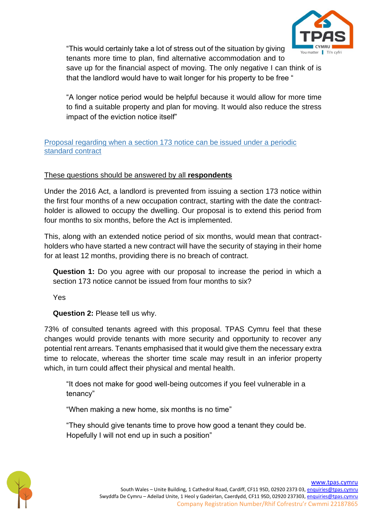

"This would certainly take a lot of stress out of the situation by giving

tenants more time to plan, find alternative accommodation and to save up for the financial aspect of moving. The only negative I can think of is that the landlord would have to wait longer for his property to be free "

"A longer notice period would be helpful because it would allow for more time to find a suitable property and plan for moving. It would also reduce the stress impact of the eviction notice itself"

#### Proposal regarding when a section 173 notice can be issued under a periodic standard contract

### These questions should be answered by all **respondents**

Under the 2016 Act, a landlord is prevented from issuing a section 173 notice within the first four months of a new occupation contract, starting with the date the contractholder is allowed to occupy the dwelling. Our proposal is to extend this period from four months to six months, before the Act is implemented.

This, along with an extended notice period of six months, would mean that contractholders who have started a new contract will have the security of staying in their home for at least 12 months, providing there is no breach of contract.

**Question 1:** Do you agree with our proposal to increase the period in which a section 173 notice cannot be issued from four months to six?

Yes

**Question 2:** Please tell us why.

73% of consulted tenants agreed with this proposal. TPAS Cymru feel that these changes would provide tenants with more security and opportunity to recover any potential rent arrears. Tenants emphasised that it would give them the necessary extra time to relocate, whereas the shorter time scale may result in an inferior property which, in turn could affect their physical and mental health.

"It does not make for good well-being outcomes if you feel vulnerable in a tenancy"

"When making a new home, six months is no time"

"They should give tenants time to prove how good a tenant they could be. Hopefully I will not end up in such a position"

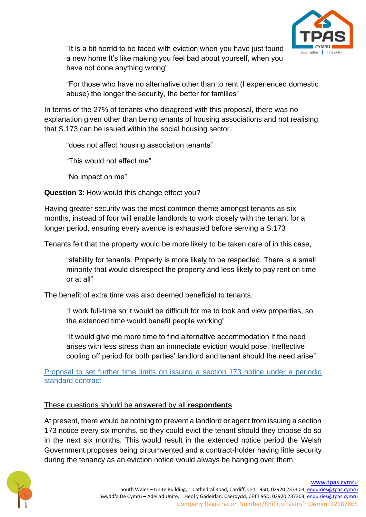

"It is a bit horrid to be faced with eviction when you have just found a new home It's like making you feel bad about yourself, when you have not done anything wrong"

"For those who have no alternative other than to rent (I experienced domestic abuse) the longer the security, the better for families"

In terms of the 27% of tenants who disagreed with this proposal, there was no explanation given other than being tenants of housing associations and not realising that S.173 can be issued within the social housing sector.

"does not affect housing association tenants"

"This would not affect me"

"No impact on me"

**Question 3**: How would this change effect you?

Having greater security was the most common theme amongst tenants as six months, instead of four will enable landlords to work closely with the tenant for a longer period, ensuring every avenue is exhausted before serving a S.173

Tenants felt that the property would be more likely to be taken care of in this case,

"stability for tenants. Property is more likely to be respected. There is a small minority that would disrespect the property and less likely to pay rent on time or at all"

The benefit of extra time was also deemed beneficial to tenants,

"I work full-time so it would be difficult for me to look and view properties, so the extended time would benefit people working"

"It would give me more time to find alternative accommodation if the need arises with less stress than an immediate eviction would pose. Ineffective cooling off period for both parties' landlord and tenant should the need arise"

Proposal to set further time limits on issuing a section 173 notice under a periodic standard contract

# These questions should be answered by all **respondents**

At present, there would be nothing to prevent a landlord or agent from issuing a section 173 notice every six months, so they could evict the tenant should they choose do so in the next six months. This would result in the extended notice period the Welsh Government proposes being circumvented and a contract-holder having little security during the tenancy as an eviction notice would always be hanging over them.

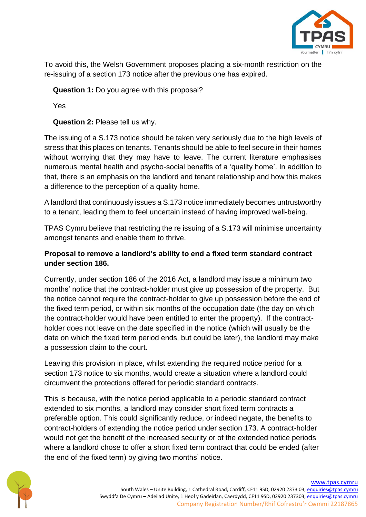

To avoid this, the Welsh Government proposes placing a six-month restriction on the re-issuing of a section 173 notice after the previous one has expired.

**Question 1:** Do you agree with this proposal?

Yes

**Question 2:** Please tell us why.

The issuing of a S.173 notice should be taken very seriously due to the high levels of stress that this places on tenants. Tenants should be able to feel secure in their homes without worrying that they may have to leave. The current literature emphasises numerous mental health and psycho-social benefits of a 'quality home'. In addition to that, there is an emphasis on the landlord and tenant relationship and how this makes a difference to the perception of a quality home.

A landlord that continuously issues a S.173 notice immediately becomes untrustworthy to a tenant, leading them to feel uncertain instead of having improved well-being.

TPAS Cymru believe that restricting the re issuing of a S.173 will minimise uncertainty amongst tenants and enable them to thrive.

# **Proposal to remove a landlord's ability to end a fixed term standard contract under section 186.**

Currently, under section 186 of the 2016 Act, a landlord may issue a minimum two months' notice that the contract-holder must give up possession of the property. But the notice cannot require the contract-holder to give up possession before the end of the fixed term period, or within six months of the occupation date (the day on which the contract-holder would have been entitled to enter the property). If the contractholder does not leave on the date specified in the notice (which will usually be the date on which the fixed term period ends, but could be later), the landlord may make a possession claim to the court.

Leaving this provision in place, whilst extending the required notice period for a section 173 notice to six months, would create a situation where a landlord could circumvent the protections offered for periodic standard contracts.

This is because, with the notice period applicable to a periodic standard contract extended to six months, a landlord may consider short fixed term contracts a preferable option. This could significantly reduce, or indeed negate, the benefits to contract-holders of extending the notice period under section 173. A contract-holder would not get the benefit of the increased security or of the extended notice periods where a landlord chose to offer a short fixed term contract that could be ended (after the end of the fixed term) by giving two months' notice.

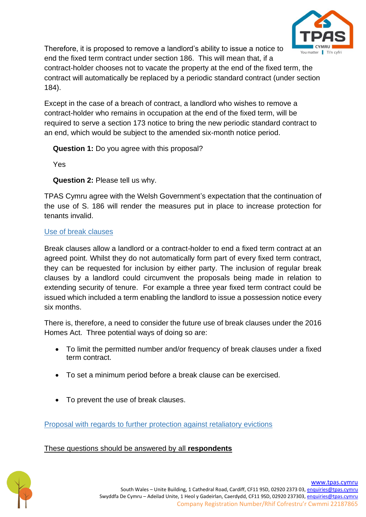

Therefore, it is proposed to remove a landlord's ability to issue a notice to end the fixed term contract under section 186. This will mean that, if a contract-holder chooses not to vacate the property at the end of the fixed term, the contract will automatically be replaced by a periodic standard contract (under section 184).

Except in the case of a breach of contract, a landlord who wishes to remove a contract-holder who remains in occupation at the end of the fixed term, will be required to serve a section 173 notice to bring the new periodic standard contract to an end, which would be subject to the amended six-month notice period.

**Question 1:** Do you agree with this proposal?

Yes

**Question 2:** Please tell us why.

TPAS Cymru agree with the Welsh Government's expectation that the continuation of the use of S. 186 will render the measures put in place to increase protection for tenants invalid.

### Use of break clauses

Break clauses allow a landlord or a contract-holder to end a fixed term contract at an agreed point. Whilst they do not automatically form part of every fixed term contract, they can be requested for inclusion by either party. The inclusion of regular break clauses by a landlord could circumvent the proposals being made in relation to extending security of tenure. For example a three year fixed term contract could be issued which included a term enabling the landlord to issue a possession notice every six months.

There is, therefore, a need to consider the future use of break clauses under the 2016 Homes Act. Three potential ways of doing so are:

- To limit the permitted number and/or frequency of break clauses under a fixed term contract.
- To set a minimum period before a break clause can be exercised.
- To prevent the use of break clauses.

Proposal with regards to further protection against retaliatory evictions

These questions should be answered by all **respondents**

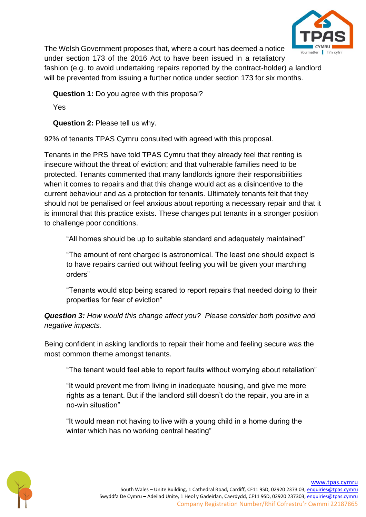

The Welsh Government proposes that, where a court has deemed a notice under section 173 of the 2016 Act to have been issued in a retaliatory fashion (e.g. to avoid undertaking repairs reported by the contract-holder) a landlord will be prevented from issuing a further notice under section 173 for six months.

**Question 1:** Do you agree with this proposal?

Yes

**Question 2:** Please tell us why.

92% of tenants TPAS Cymru consulted with agreed with this proposal.

Tenants in the PRS have told TPAS Cymru that they already feel that renting is insecure without the threat of eviction; and that vulnerable families need to be protected. Tenants commented that many landlords ignore their responsibilities when it comes to repairs and that this change would act as a disincentive to the current behaviour and as a protection for tenants. Ultimately tenants felt that they should not be penalised or feel anxious about reporting a necessary repair and that it is immoral that this practice exists. These changes put tenants in a stronger position to challenge poor conditions.

"All homes should be up to suitable standard and adequately maintained"

"The amount of rent charged is astronomical. The least one should expect is to have repairs carried out without feeling you will be given your marching orders"

"Tenants would stop being scared to report repairs that needed doing to their properties for fear of eviction"

*Question 3: How would this change affect you? Please consider both positive and negative impacts.*

Being confident in asking landlords to repair their home and feeling secure was the most common theme amongst tenants.

"The tenant would feel able to report faults without worrying about retaliation"

"It would prevent me from living in inadequate housing, and give me more rights as a tenant. But if the landlord still doesn't do the repair, you are in a no-win situation"

"It would mean not having to live with a young child in a home during the winter which has no working central heating"

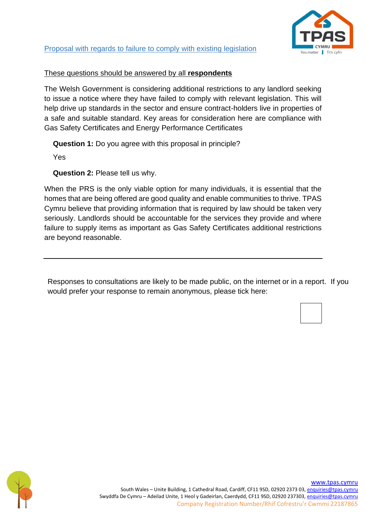

#### These questions should be answered by all **respondents**

The Welsh Government is considering additional restrictions to any landlord seeking to issue a notice where they have failed to comply with relevant legislation. This will help drive up standards in the sector and ensure contract-holders live in properties of a safe and suitable standard. Key areas for consideration here are compliance with Gas Safety Certificates and Energy Performance Certificates

**Question 1:** Do you agree with this proposal in principle?

Yes

**Question 2:** Please tell us why.

When the PRS is the only viable option for many individuals, it is essential that the homes that are being offered are good quality and enable communities to thrive. TPAS Cymru believe that providing information that is required by law should be taken very seriously. Landlords should be accountable for the services they provide and where failure to supply items as important as Gas Safety Certificates additional restrictions are beyond reasonable.

Responses to consultations are likely to be made public, on the internet or in a report. If you would prefer your response to remain anonymous, please tick here:

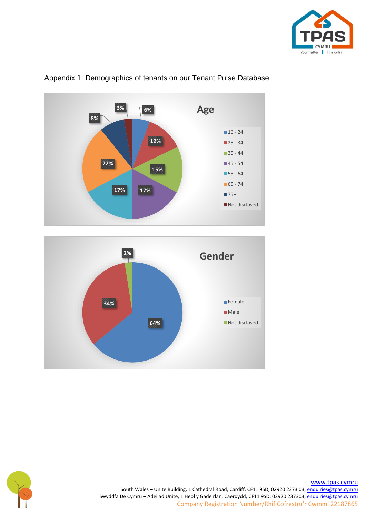



### Appendix 1: Demographics of tenants on our Tenant Pulse Database





South Wales – Unite Building, 1 Cathedral Road, Cardiff, CF11 9SD, 02920 2373 03[, enquiries@tpas.cymru](mailto:enquiries@tpas.cymru) Swyddfa De Cymru – Adeilad Unite, 1 Heol y Gadeirlan, Caerdydd, CF11 9SD, 02920 237303[, enquiries@tpas.cymru](mailto:enquiries@tpas.cymru) Company Registration Number/Rhif Cofrestru'r Cwmmi 22187865

[www.tpas.cymru](http://www.tpas.cymru/)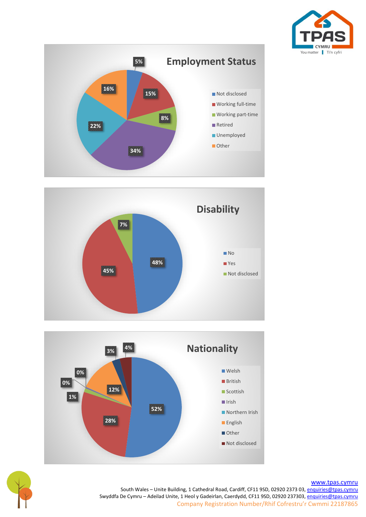









[www.tpas.cymru](http://www.tpas.cymru/)

South Wales - Unite Building, 1 Cathedral Road, Cardiff, CF11 9SD, 02920 2373 03[, enquiries@tpas.cymru](mailto:enquiries@tpas.cymru) Swyddfa De Cymru – Adeilad Unite, 1 Heol y Gadeirlan, Caerdydd, CF11 9SD, 02920 237303[, enquiries@tpas.cymru](mailto:enquiries@tpas.cymru) Company Registration Number/Rhif Cofrestru'r Cwmmi 22187865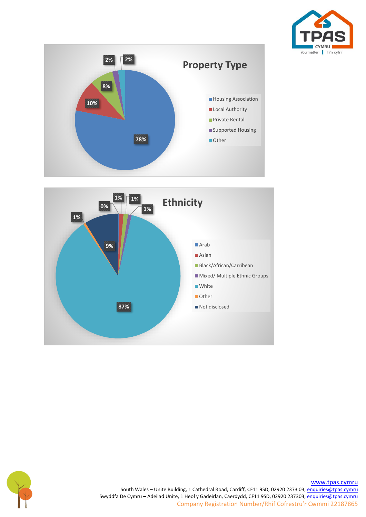







[www.tpas.cymru](http://www.tpas.cymru/) South Wales - Unite Building, 1 Cathedral Road, Cardiff, CF11 9SD, 02920 2373 03[, enquiries@tpas.cymru](mailto:enquiries@tpas.cymru) Swyddfa De Cymru – Adeilad Unite, 1 Heol y Gadeirlan, Caerdydd, CF11 9SD, 02920 237303[, enquiries@tpas.cymru](mailto:enquiries@tpas.cymru) Company Registration Number/Rhif Cofrestru'r Cwmmi 22187865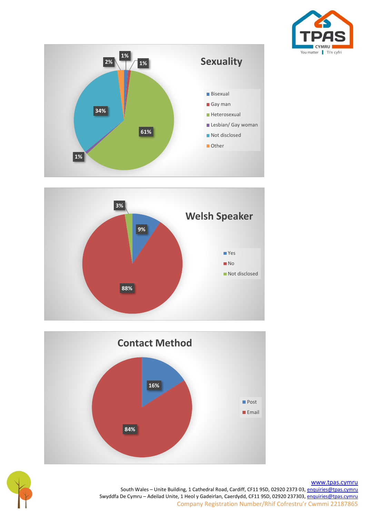







#### [www.tpas.cymru](http://www.tpas.cymru/)

South Wales - Unite Building, 1 Cathedral Road, Cardiff, CF11 9SD, 02920 2373 03[, enquiries@tpas.cymru](mailto:enquiries@tpas.cymru) Swyddfa De Cymru – Adeilad Unite, 1 Heol y Gadeirlan, Caerdydd, CF11 9SD, 02920 237303[, enquiries@tpas.cymru](mailto:enquiries@tpas.cymru) Company Registration Number/Rhif Cofrestru'r Cwmmi 22187865